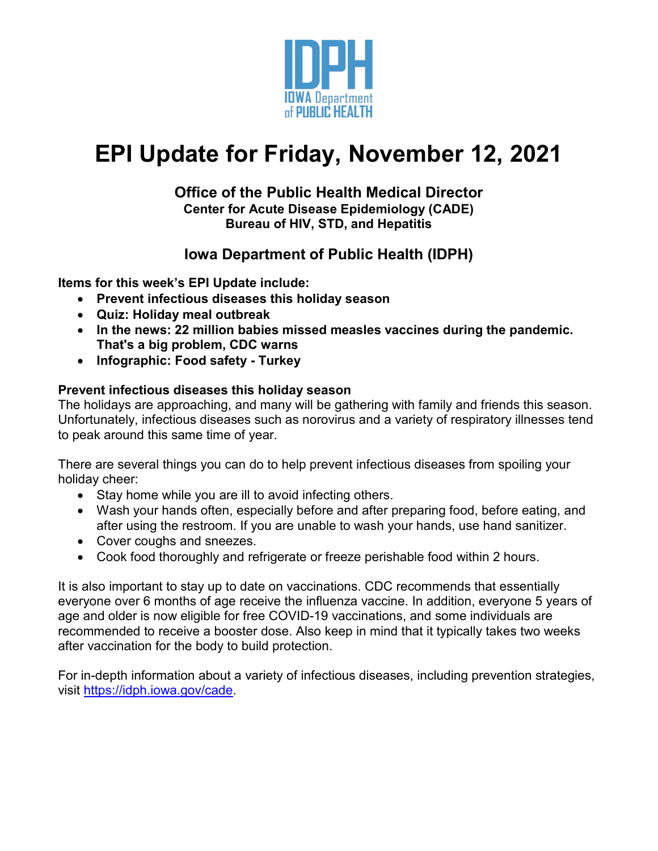

# **EPI Update for Friday, November 12, 2021**

#### **Office of the Public Health Medical Director Center for Acute Disease Epidemiology (CADE) Bureau of HIV, STD, and Hepatitis**

## **Iowa Department of Public Health (IDPH)**

**Items for this week's EPI Update include:**

- **Prevent infectious diseases this holiday season**
- **Quiz: Holiday meal outbreak**
- **In the news: 22 million babies missed measles vaccines during the pandemic. That's a big problem, CDC warns**
- **Infographic: Food safety - Turkey**

### **Prevent infectious diseases this holiday season**

The holidays are approaching, and many will be gathering with family and friends this season. Unfortunately, infectious diseases such as norovirus and a variety of respiratory illnesses tend to peak around this same time of year.

There are several things you can do to help prevent infectious diseases from spoiling your holiday cheer:

- Stay home while you are ill to avoid infecting others.
- Wash your hands often, especially before and after preparing food, before eating, and after using the restroom. If you are unable to wash your hands, use hand sanitizer.
- Cover coughs and sneezes.
- Cook food thoroughly and refrigerate or freeze perishable food within 2 hours.

It is also important to stay up to date on vaccinations. CDC recommends that essentially everyone over 6 months of age receive the influenza vaccine. In addition, everyone 5 years of age and older is now eligible for free COVID-19 vaccinations, and some individuals are recommended to receive a booster dose. Also keep in mind that it typically takes two weeks after vaccination for the body to build protection.

For in-depth information about a variety of infectious diseases, including prevention strategies, visit [https://idph.iowa.gov/cade.](https://idph.iowa.gov/cade)